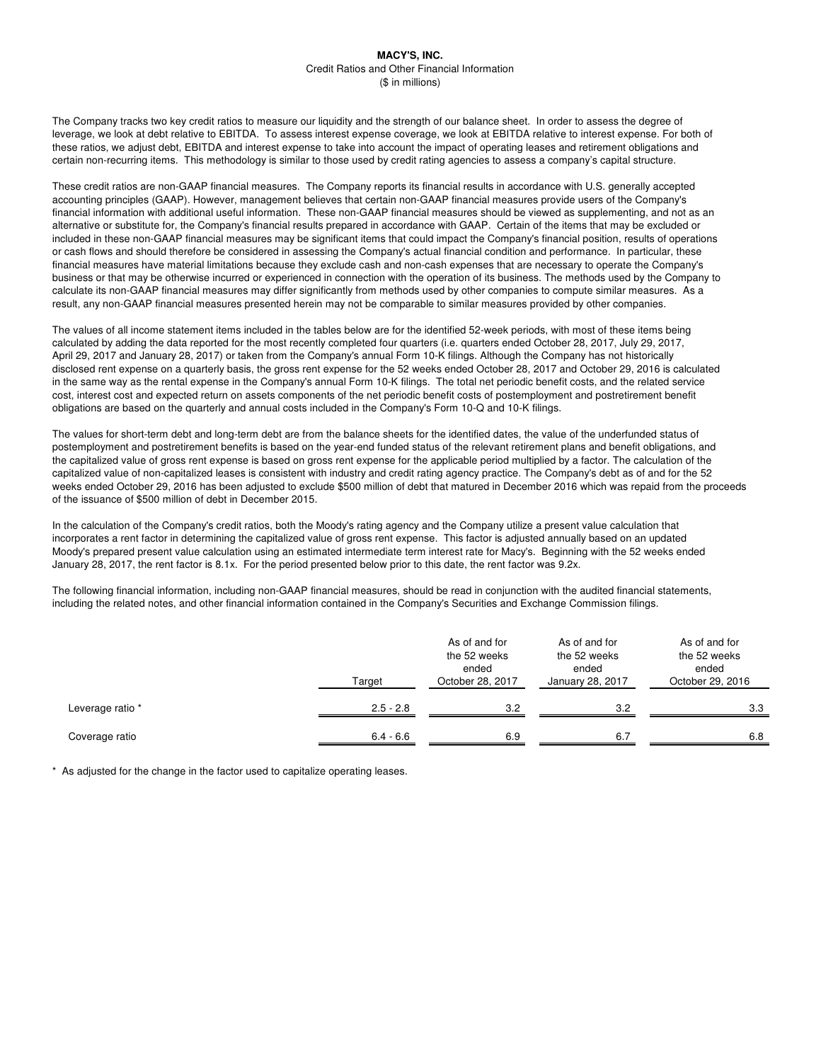The Company tracks two key credit ratios to measure our liquidity and the strength of our balance sheet. In order to assess the degree of leverage, we look at debt relative to EBITDA. To assess interest expense coverage, we look at EBITDA relative to interest expense. For both of these ratios, we adjust debt, EBITDA and interest expense to take into account the impact of operating leases and retirement obligations and certain non-recurring items. This methodology is similar to those used by credit rating agencies to assess a company's capital structure.

These credit ratios are non-GAAP financial measures. The Company reports its financial results in accordance with U.S. generally accepted accounting principles (GAAP). However, management believes that certain non-GAAP financial measures provide users of the Company's financial information with additional useful information. These non-GAAP financial measures should be viewed as supplementing, and not as an alternative or substitute for, the Company's financial results prepared in accordance with GAAP. Certain of the items that may be excluded or included in these non-GAAP financial measures may be significant items that could impact the Company's financial position, results of operations or cash flows and should therefore be considered in assessing the Company's actual financial condition and performance. In particular, these financial measures have material limitations because they exclude cash and non-cash expenses that are necessary to operate the Company's business or that may be otherwise incurred or experienced in connection with the operation of its business. The methods used by the Company to calculate its non-GAAP financial measures may differ significantly from methods used by other companies to compute similar measures. As a result, any non-GAAP financial measures presented herein may not be comparable to similar measures provided by other companies.

The values of all income statement items included in the tables below are for the identified 52-week periods, with most of these items being calculated by adding the data reported for the most recently completed four quarters (i.e. quarters ended October 28, 2017, July 29, 2017, April 29, 2017 and January 28, 2017) or taken from the Company's annual Form 10-K filings. Although the Company has not historically disclosed rent expense on a quarterly basis, the gross rent expense for the 52 weeks ended October 28, 2017 and October 29, 2016 is calculated in the same way as the rental expense in the Company's annual Form 10-K filings. The total net periodic benefit costs, and the related service cost, interest cost and expected return on assets components of the net periodic benefit costs of postemployment and postretirement benefit obligations are based on the quarterly and annual costs included in the Company's Form 10-Q and 10-K filings.

The values for short-term debt and long-term debt are from the balance sheets for the identified dates, the value of the underfunded status of postemployment and postretirement benefits is based on the year-end funded status of the relevant retirement plans and benefit obligations, and the capitalized value of gross rent expense is based on gross rent expense for the applicable period multiplied by a factor. The calculation of the capitalized value of non-capitalized leases is consistent with industry and credit rating agency practice. The Company's debt as of and for the 52 weeks ended October 29, 2016 has been adjusted to exclude \$500 million of debt that matured in December 2016 which was repaid from the proceeds of the issuance of \$500 million of debt in December 2015.

In the calculation of the Company's credit ratios, both the Moody's rating agency and the Company utilize a present value calculation that incorporates a rent factor in determining the capitalized value of gross rent expense. This factor is adjusted annually based on an updated Moody's prepared present value calculation using an estimated intermediate term interest rate for Macy's. Beginning with the 52 weeks ended January 28, 2017, the rent factor is 8.1x. For the period presented below prior to this date, the rent factor was 9.2x.

The following financial information, including non-GAAP financial measures, should be read in conjunction with the audited financial statements, including the related notes, and other financial information contained in the Company's Securities and Exchange Commission filings.

|                  | Target      | As of and for<br>the 52 weeks<br>ended<br>October 28, 2017 | As of and for<br>the 52 weeks<br>ended<br>January 28, 2017 | As of and for<br>the 52 weeks<br>ended<br>October 29, 2016 |
|------------------|-------------|------------------------------------------------------------|------------------------------------------------------------|------------------------------------------------------------|
| Leverage ratio * | $2.5 - 2.8$ | 3.2                                                        | 3.2                                                        | 3.3                                                        |
| Coverage ratio   | $6.4 - 6.6$ | 6.9                                                        | 6.7                                                        | 6.8                                                        |

\* As adjusted for the change in the factor used to capitalize operating leases.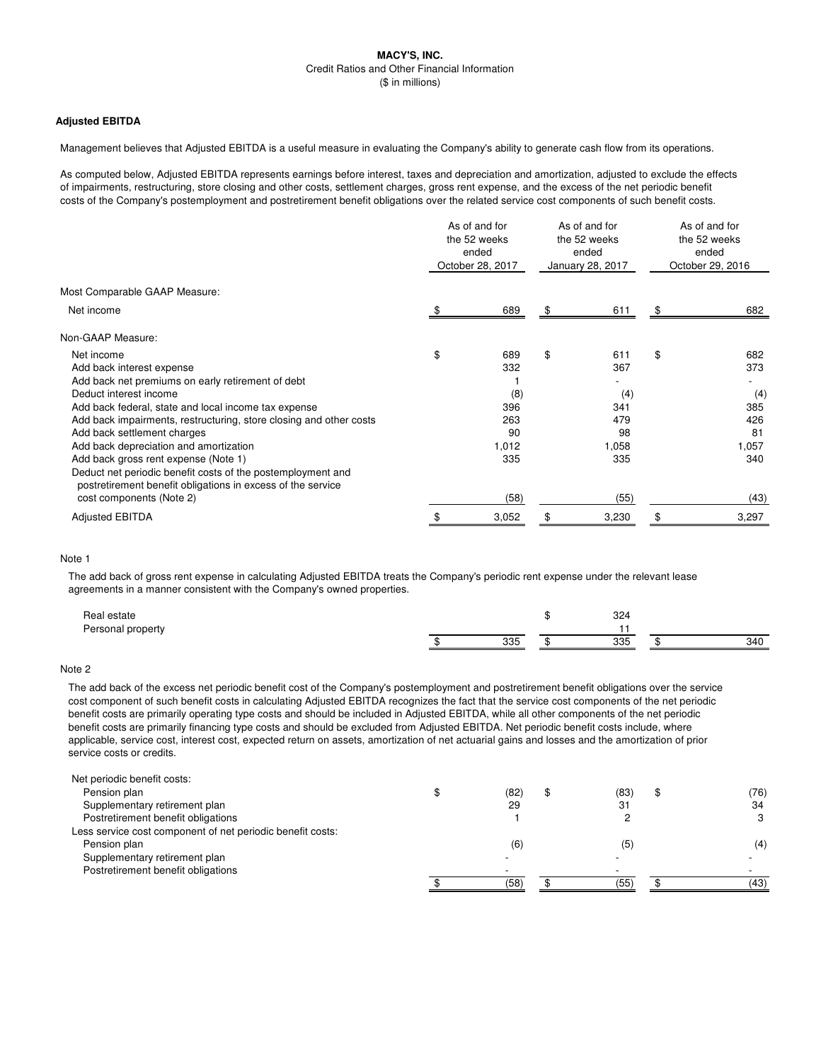# **Adjusted EBITDA**

Management believes that Adjusted EBITDA is a useful measure in evaluating the Company's ability to generate cash flow from its operations.

As computed below, Adjusted EBITDA represents earnings before interest, taxes and depreciation and amortization, adjusted to exclude the effects of impairments, restructuring, store closing and other costs, settlement charges, gross rent expense, and the excess of the net periodic benefit costs of the Company's postemployment and postretirement benefit obligations over the related service cost components of such benefit costs.

|                                                                                                                            | As of and for<br>the 52 weeks<br>ended<br>October 28, 2017 |       | As of and for<br>the 52 weeks<br>ended<br>January 28, 2017 |       | As of and for<br>the 52 weeks<br>ended<br>October 29, 2016 |       |
|----------------------------------------------------------------------------------------------------------------------------|------------------------------------------------------------|-------|------------------------------------------------------------|-------|------------------------------------------------------------|-------|
| Most Comparable GAAP Measure:                                                                                              |                                                            |       |                                                            |       |                                                            |       |
| Net income                                                                                                                 |                                                            | 689   | \$                                                         | 611   | \$                                                         | 682   |
| Non-GAAP Measure:                                                                                                          |                                                            |       |                                                            |       |                                                            |       |
| Net income                                                                                                                 | \$                                                         | 689   | \$                                                         | 611   | \$                                                         | 682   |
| Add back interest expense                                                                                                  |                                                            | 332   |                                                            | 367   |                                                            | 373   |
| Add back net premiums on early retirement of debt                                                                          |                                                            |       |                                                            |       |                                                            |       |
| Deduct interest income                                                                                                     |                                                            | (8)   |                                                            | (4)   |                                                            | (4)   |
| Add back federal, state and local income tax expense                                                                       |                                                            | 396   |                                                            | 341   |                                                            | 385   |
| Add back impairments, restructuring, store closing and other costs                                                         |                                                            | 263   |                                                            | 479   |                                                            | 426   |
| Add back settlement charges                                                                                                |                                                            | 90    |                                                            | 98    |                                                            | 81    |
| Add back depreciation and amortization                                                                                     |                                                            | 1,012 |                                                            | 1,058 |                                                            | 1,057 |
| Add back gross rent expense (Note 1)                                                                                       |                                                            | 335   |                                                            | 335   |                                                            | 340   |
| Deduct net periodic benefit costs of the postemployment and<br>postretirement benefit obligations in excess of the service |                                                            |       |                                                            |       |                                                            |       |
| cost components (Note 2)                                                                                                   |                                                            | (58)  |                                                            | (55)  |                                                            | (43)  |
| <b>Adjusted EBITDA</b>                                                                                                     |                                                            | 3,052 |                                                            | 3,230 |                                                            | 3,297 |

# Note 1

The add back of gross rent expense in calculating Adjusted EBITDA treats the Company's periodic rent expense under the relevant lease agreements in a manner consistent with the Company's owned properties.

| Real estate       |     | 324        |     |
|-------------------|-----|------------|-----|
| Personal property |     |            |     |
|                   | 335 | ふっと<br>ບບບ | 340 |

## Note 2

The add back of the excess net periodic benefit cost of the Company's postemployment and postretirement benefit obligations over the service cost component of such benefit costs in calculating Adjusted EBITDA recognizes the fact that the service cost components of the net periodic benefit costs are primarily operating type costs and should be included in Adjusted EBITDA, while all other components of the net periodic benefit costs are primarily financing type costs and should be excluded from Adjusted EBITDA. Net periodic benefit costs include, where applicable, service cost, interest cost, expected return on assets, amortization of net actuarial gains and losses and the amortization of prior service costs or credits.

| Net periodic benefit costs:                                |      |      |      |
|------------------------------------------------------------|------|------|------|
| Pension plan                                               | (82) | (83) | (76) |
| Supplementary retirement plan                              | 29   | 31   | 34   |
| Postretirement benefit obligations                         |      |      | 3    |
| Less service cost component of net periodic benefit costs: |      |      |      |
| Pension plan                                               | (6)  | (5)  | (4)  |
| Supplementary retirement plan                              |      |      |      |
| Postretirement benefit obligations                         |      |      |      |
|                                                            | (58) | (55) | (43) |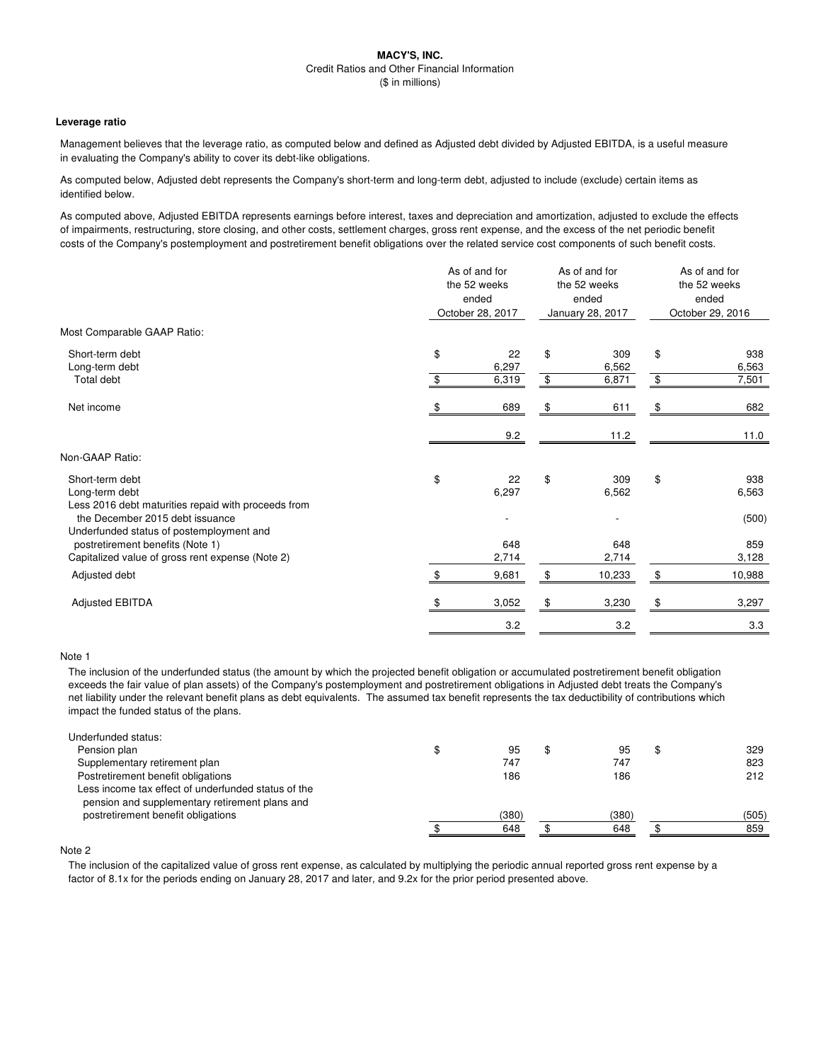#### **Leverage ratio**

Management believes that the leverage ratio, as computed below and defined as Adjusted debt divided by Adjusted EBITDA, is a useful measure in evaluating the Company's ability to cover its debt-like obligations.

As computed below, Adjusted debt represents the Company's short-term and long-term debt, adjusted to include (exclude) certain items as identified below.

As computed above, Adjusted EBITDA represents earnings before interest, taxes and depreciation and amortization, adjusted to exclude the effects of impairments, restructuring, store closing, and other costs, settlement charges, gross rent expense, and the excess of the net periodic benefit costs of the Company's postemployment and postretirement benefit obligations over the related service cost components of such benefit costs.

|                                                                                          |     | As of and for<br>the 52 weeks<br>ended<br>October 28, 2017 |    | As of and for<br>the 52 weeks<br>ended<br>January 28, 2017 | As of and for<br>the 52 weeks<br>ended<br>October 29, 2016 |              |
|------------------------------------------------------------------------------------------|-----|------------------------------------------------------------|----|------------------------------------------------------------|------------------------------------------------------------|--------------|
| Most Comparable GAAP Ratio:                                                              |     |                                                            |    |                                                            |                                                            |              |
| Short-term debt<br>Long-term debt                                                        | \$  | 22<br>6,297                                                | \$ | 309<br>6,562                                               | \$                                                         | 938<br>6,563 |
| Total debt                                                                               | \$  | 6,319                                                      | \$ | 6,871                                                      | \$                                                         | 7,501        |
| Net income                                                                               | \$. | 689                                                        | \$ | 611                                                        | \$                                                         | 682          |
|                                                                                          |     | 9.2                                                        |    | 11.2                                                       |                                                            | 11.0         |
| Non-GAAP Ratio:                                                                          |     |                                                            |    |                                                            |                                                            |              |
| Short-term debt<br>Long-term debt<br>Less 2016 debt maturities repaid with proceeds from | \$  | 22<br>6,297                                                | \$ | 309<br>6,562                                               | \$                                                         | 938<br>6,563 |
| the December 2015 debt issuance<br>Underfunded status of postemployment and              |     |                                                            |    |                                                            |                                                            | (500)        |
| postretirement benefits (Note 1)<br>Capitalized value of gross rent expense (Note 2)     |     | 648<br>2,714                                               |    | 648<br>2,714                                               |                                                            | 859<br>3,128 |
| Adjusted debt                                                                            | \$  | 9,681                                                      | \$ | 10,233                                                     | \$                                                         | 10,988       |
| <b>Adjusted EBITDA</b>                                                                   |     | 3,052                                                      |    | 3,230                                                      | \$                                                         | 3,297        |
|                                                                                          |     | 3.2                                                        |    | 3.2                                                        |                                                            | 3.3          |

# Note 1

The inclusion of the underfunded status (the amount by which the projected benefit obligation or accumulated postretirement benefit obligation exceeds the fair value of plan assets) of the Company's postemployment and postretirement obligations in Adjusted debt treats the Company's net liability under the relevant benefit plans as debt equivalents. The assumed tax benefit represents the tax deductibility of contributions which impact the funded status of the plans.

| Underfunded status:                                 |       |       |       |
|-----------------------------------------------------|-------|-------|-------|
| Pension plan                                        | 95    | 95    | 329   |
| Supplementary retirement plan                       | 747   | 747   | 823   |
| Postretirement benefit obligations                  | 186   | 186   | 212   |
| Less income tax effect of underfunded status of the |       |       |       |
| pension and supplementary retirement plans and      |       |       |       |
| postretirement benefit obligations                  | (380) | (380) | (505) |
|                                                     | 648   | 648   | 859   |

### Note 2

The inclusion of the capitalized value of gross rent expense, as calculated by multiplying the periodic annual reported gross rent expense by a factor of 8.1x for the periods ending on January 28, 2017 and later, and 9.2x for the prior period presented above.